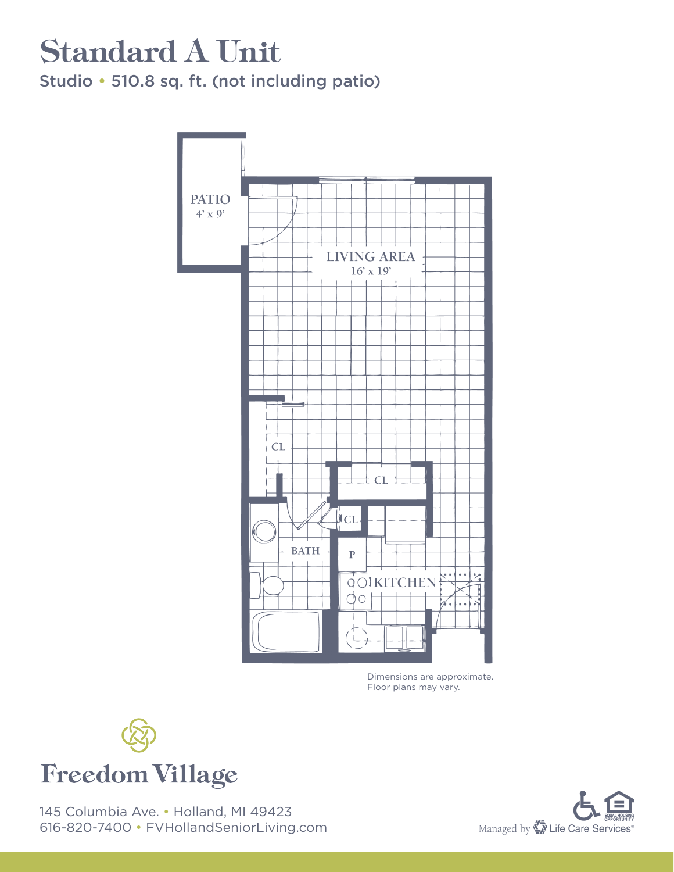#### Standard A Unit Studio • 510.8 sq. ft. (not including patio)



Dimensions are approximate. Floor plans may vary.



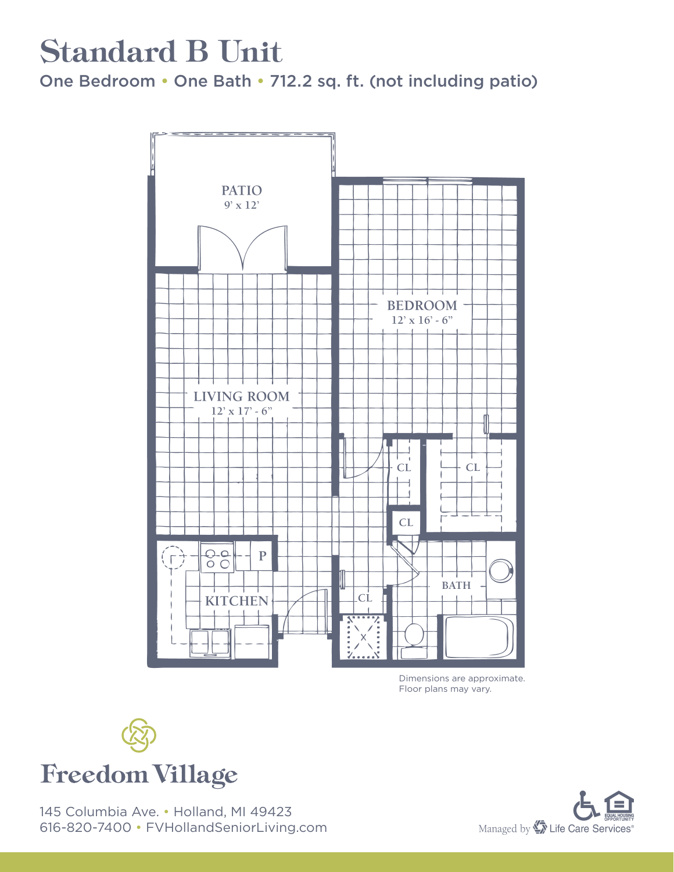#### Standard B Unit

One Bedroom • One Bath • 712.2 sq. ft. (not including patio)



Dimensions are approximate. Floor plans may vary.



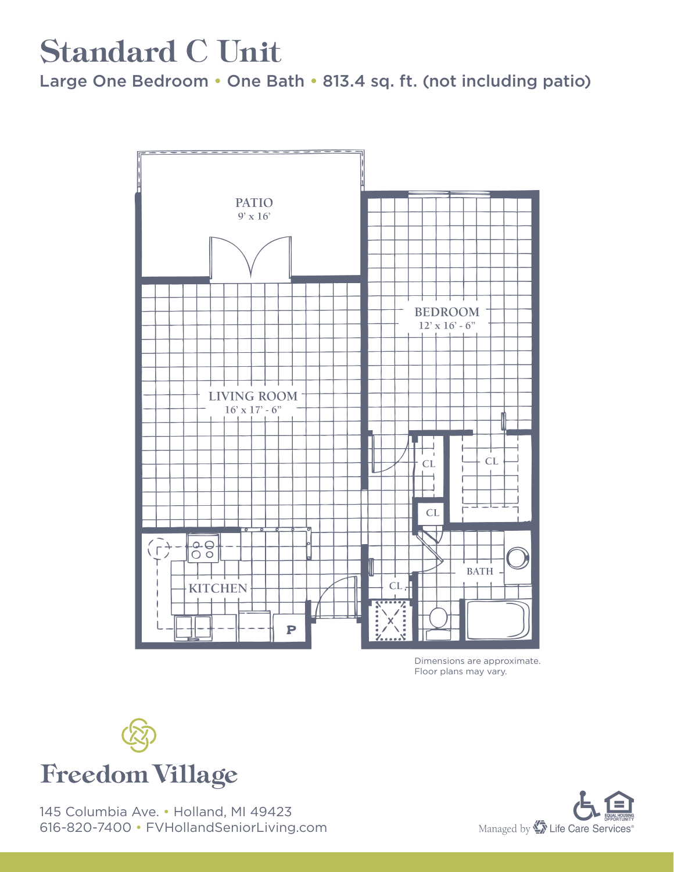### Standard C Unit

Large One Bedroom • One Bath • 813.4 sq. ft. (not including patio)



Dimensions are approximate. Floor plans may vary.



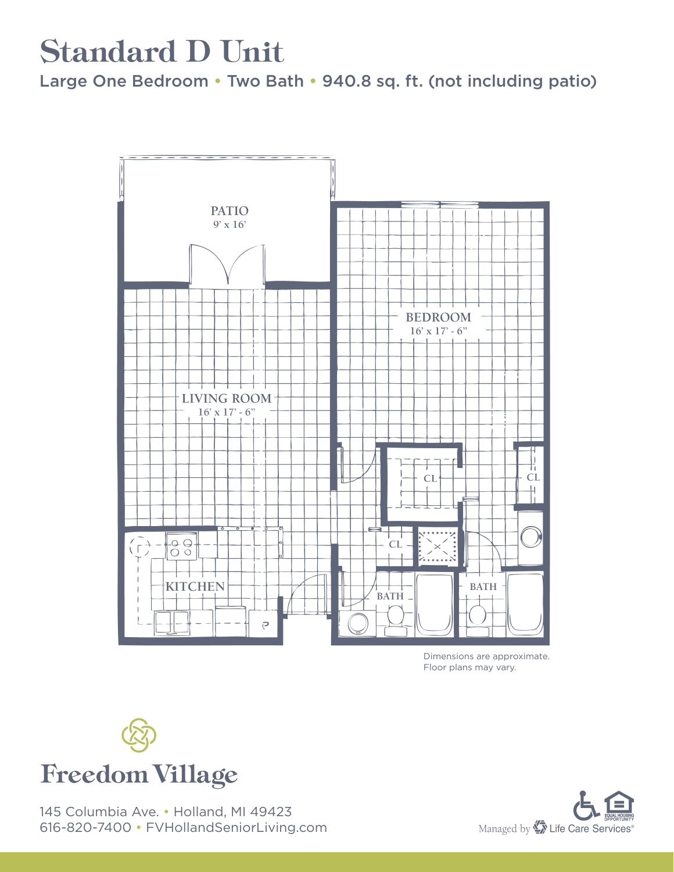## Standard D Unit

Large One Bedroom • Two Bath • 940.8 sq. ft. (not including patio)



Dimensions are approximate. Floor plans may vary.



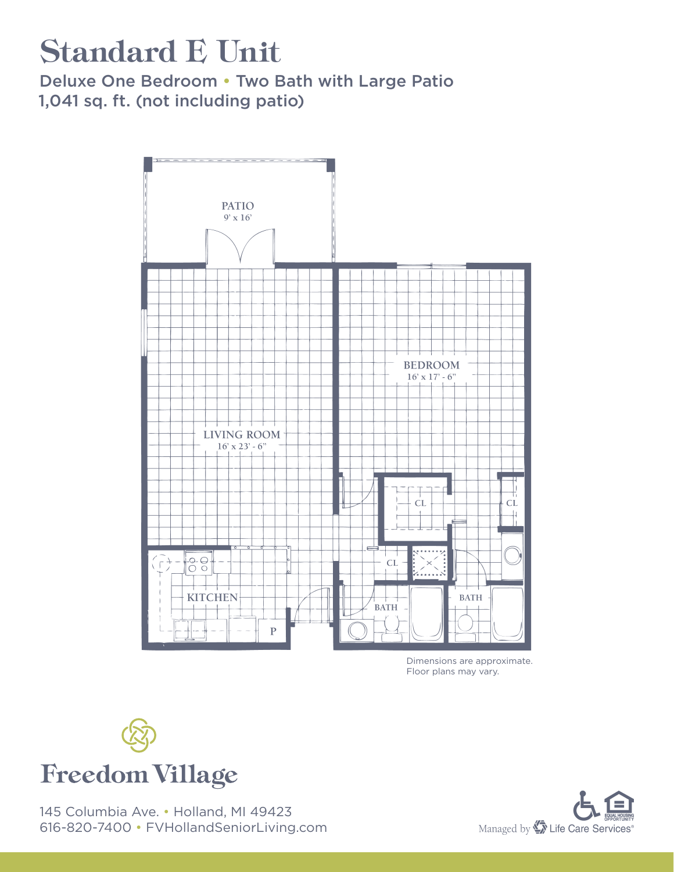# Standard E Unit

Deluxe One Bedroom • Two Bath with Large Patio 1,041 sq. ft. (not including patio)



Dimensions are approximate. Floor plans may vary.



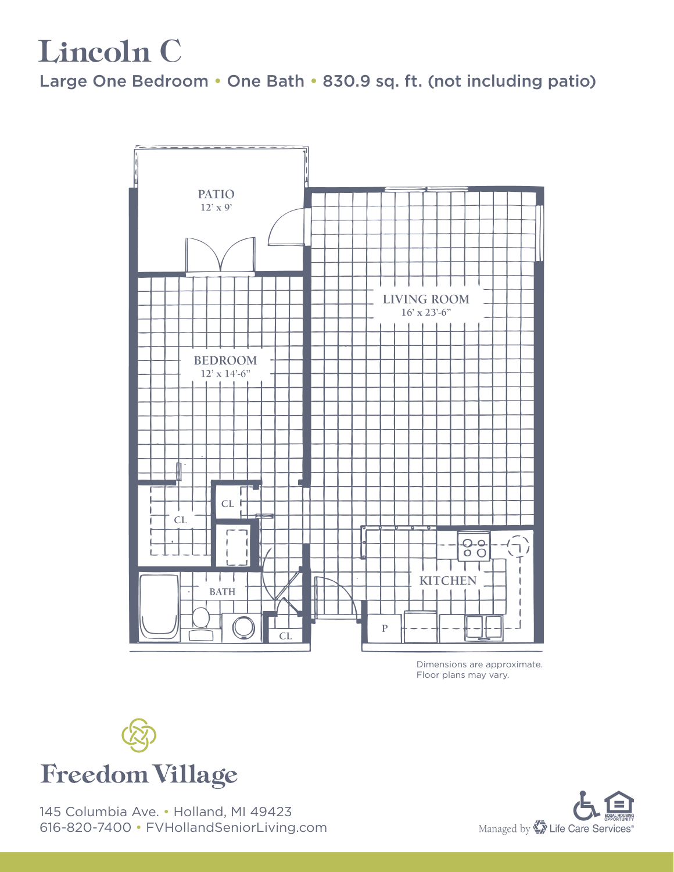### Lincoln C

Large One Bedroom • One Bath • 830.9 sq. ft. (not including patio)



Dimensions are approximate. Floor plans may vary.



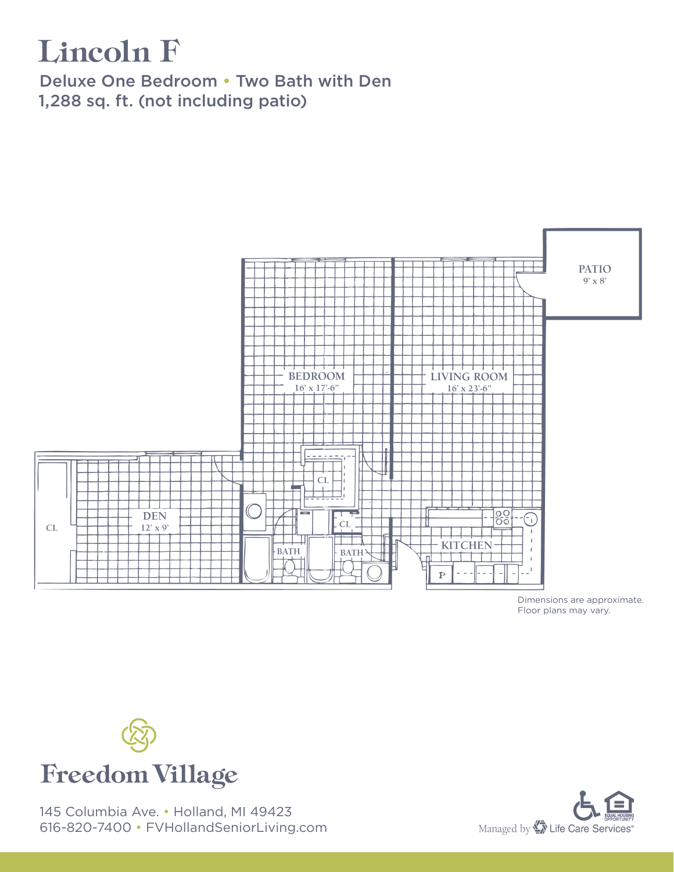## Lincoln F

Deluxe One Bedroom • Two Bath with Den 1,288 sq. ft. (not including patio)



Dimensions are approximate. Floor plans may vary.



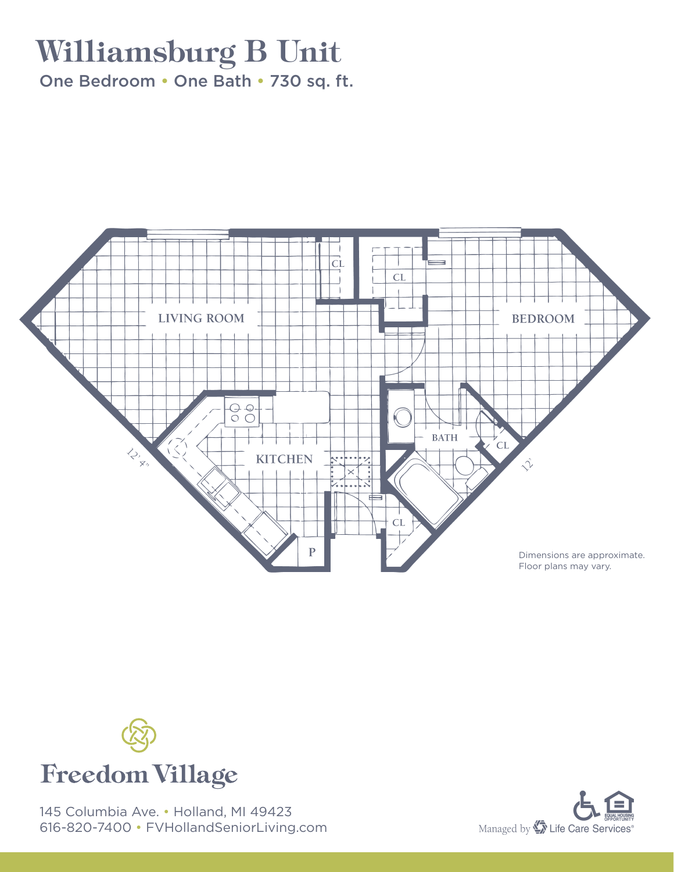## Williamsburg B Unit

One Bedroom • One Bath • 730 sq. ft.





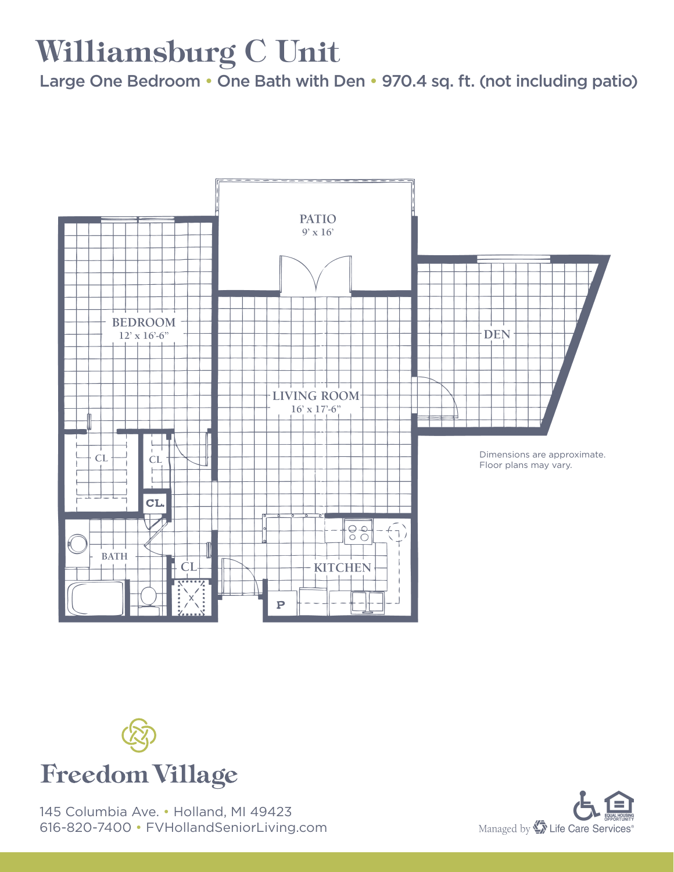# Williamsburg C Unit

Large One Bedroom • One Bath with Den • 970.4 sq. ft. (not including patio)





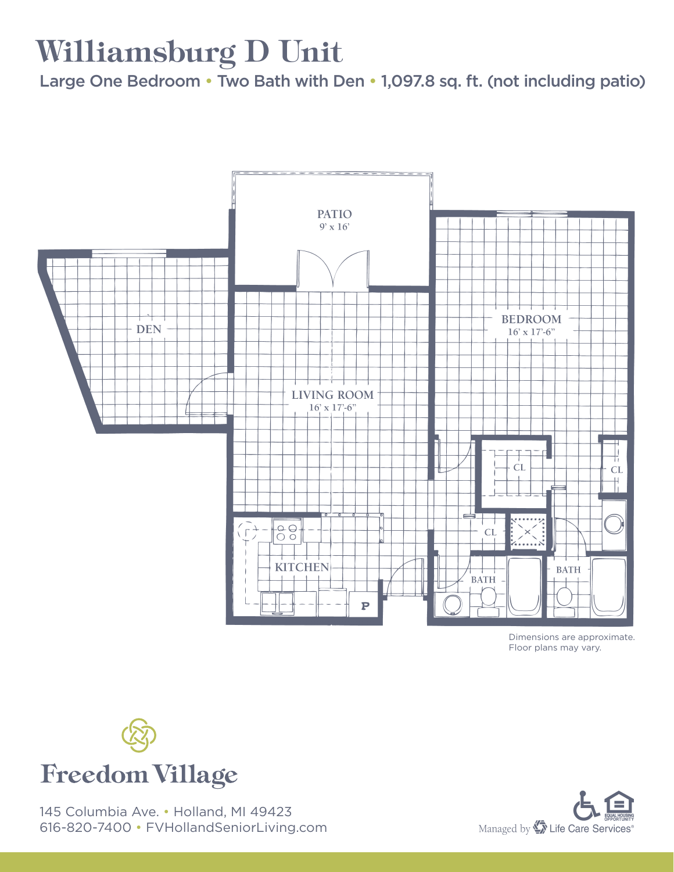## Williamsburg D Unit

Large One Bedroom • Two Bath with Den • 1,097.8 sq. ft. (not including patio)



Dimensions are approximate. Floor plans may vary.